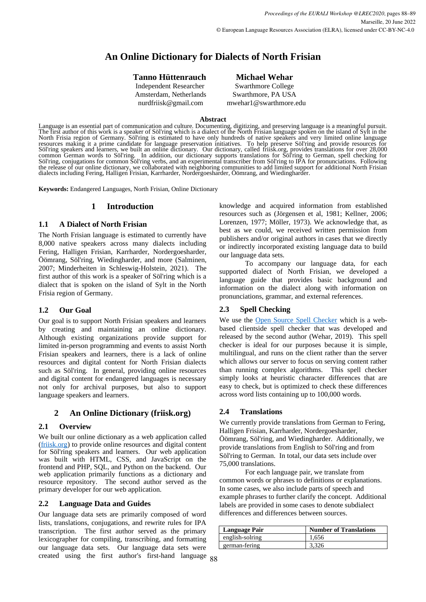# **An Online Dictionary for Dialects of North Frisian**

# **Tanno Hüttenrauch Michael Wehar**

Independent Researcher Swarthmore College

Amsterdam, Netherlands Swarthmore, PA USA nurdfriisk@gmail.com mwehar1@swarthmore.edu

#### **Abstract**

Language is an essential part of communication and culture. Documenting, digitizing, and preserving language is a meaningful pursuit. The first author of this work is a speaker of Söl'ring which is a dialect of the North Frisian language spoken on the island of Sylt in the North Frisia region of Germany. Söl'ring is estimated to have only hundreds of native speakers and very limited online language resources making it a prime candidate for language preservation initiatives. To help preserve Söl'ring and provide resources for Söl'ring speakers and learners, we built an online dictionary. Our dictionary, called friisk.org, provides translations for over 28,000 common German words to Söl'ring. In addition, our dictionary supports translations for Söl'ring to German, spell checking for Söl'ring, conjugations for common Söl'ring verbs, and an experimental transcriber from Söl'ring to IPA for pronunciations. Following the release of our online dictionary, we collaborated with neighboring communities to add limited support for additional North Frisian dialects including Fering, Halligen Frisian, Karrharder, Nordergoesharder, Öömrang, and Wiedingharder.

**Keywords:** Endangered Languages, North Frisian, Online Dictionary

# **1 Introduction**

## **1.1 A Dialect of North Frisian**

The North Frisian language is estimated to currently have 8,000 native speakers across many dialects including Fering, Halligen Frisian, Karrharder, Nordergoesharder, Öömrang, Söl'ring, Wiedingharder, and more (Salminen, 2007; Minderheiten in Schleswig-Holstein, 2021). The first author of this work is a speaker of Söl'ring which is a dialect that is spoken on the island of Sylt in the North Frisia region of Germany.

# **1.2 Our Goal**

Our goal is to support North Frisian speakers and learners by creating and maintaining an online dictionary. Although existing organizations provide support for limited in-person programming and events to assist North Frisian speakers and learners, there is a lack of online resources and digital content for North Frisian dialects such as Söl'ring. In general, providing online resources and digital content for endangered languages is necessary not only for archival purposes, but also to support language speakers and learners.

# **2 An Online Dictionary (friisk.org)**

# **2.1 Overview**

We built our online dictionary as a web application called [\(friisk.org](https://friisk.org/)) to provide online resources and digital content for Söl'ring speakers and learners. Our web application was built with HTML, CSS, and JavaScript on the frontend and PHP, SQL, and Python on the backend. Our web application primarily functions as a dictionary and resource repository. The second author served as the primary developer for our web application.

# **2.2 Language Data and Guides**

88 created using the first author's first-hand language Our language data sets are primarily composed of word lists, translations, conjugations, and rewrite rules for IPA transcription. The first author served as the primary lexicographer for compiling, transcribing, and formatting our language data sets. Our language data sets were

knowledge and acquired information from established resources such as (Jörgensen et al, 1981; Kellner, 2006; Lorenzen, 1977; Möller, 1973). We acknowledge that, as best as we could, we received written permission from publishers and/or original authors in cases that we directly or indirectly incorporated existing language data to build our language data sets.

To accompany our language data, for each supported dialect of North Frisian, we developed a language guide that provides basic background and information on the dialect along with information on pronunciations, grammar, and external references.

# **2.3 Spell Checking**

We use the **Open Source Spell Checker** which is a webbased clientside spell checker that was developed and released by the second author (Wehar, 2019). This spell checker is ideal for our purposes because it is simple, multilingual, and runs on the client rather than the server which allows our server to focus on serving content rather than running complex algorithms. This spell checker simply looks at heuristic character differences that are easy to check, but is optimized to check these differences across word lists containing up to 100,000 words.

#### **2.4 Translations**

We currently provide translations from German to Fering, Halligen Frisian, Karrharder, Nordergoesharder, Öömrang, Söl'ring, and Wiedingharder. Additionally, we provide translations from English to Söl'ring and from Söl'ring to German. In total, our data sets include over 75,000 translations.

For each language pair, we translate from common words or phrases to definitions or explanations. In some cases, we also include parts of speech and example phrases to further clarify the concept. Additional labels are provided in some cases to denote subdialect differences and differences between sources.

| Language Pair   | <b>Number of Translations</b> |
|-----------------|-------------------------------|
| english-solring | 1,656                         |
| german-fering   | 3,326                         |